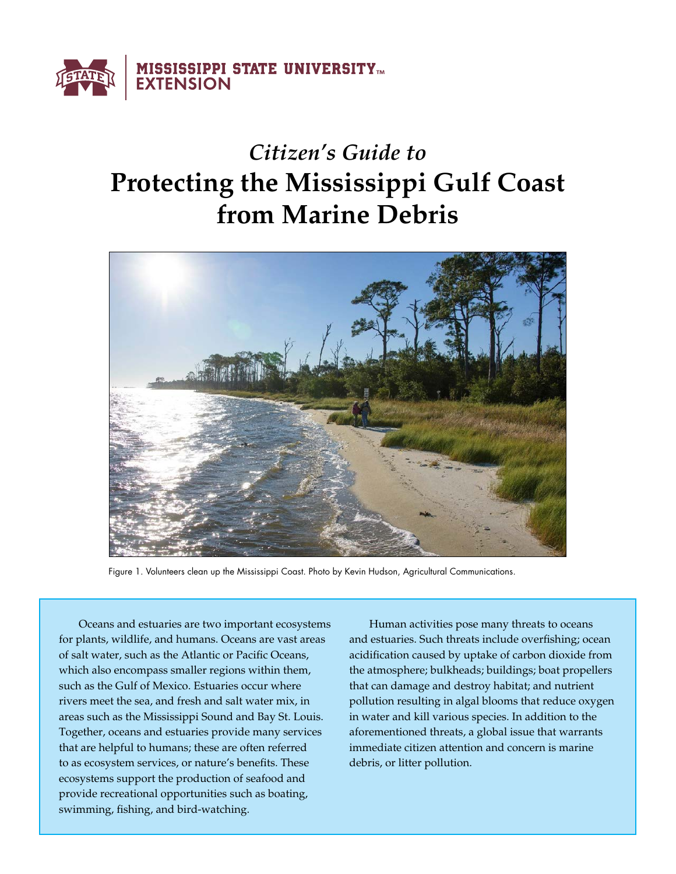

# *Citizen's Guide to*  **Protecting the Mississippi Gulf Coast from Marine Debris**



Figure 1. Volunteers clean up the Mississippi Coast. Photo by Kevin Hudson, Agricultural Communications.

Oceans and estuaries are two important ecosystems for plants, wildlife, and humans. Oceans are vast areas of salt water, such as the Atlantic or Pacific Oceans, which also encompass smaller regions within them, such as the Gulf of Mexico. Estuaries occur where rivers meet the sea, and fresh and salt water mix, in areas such as the Mississippi Sound and Bay St. Louis. Together, oceans and estuaries provide many services that are helpful to humans; these are often referred to as ecosystem services, or nature's benefits. These ecosystems support the production of seafood and provide recreational opportunities such as boating, swimming, fishing, and bird-watching.

Human activities pose many threats to oceans and estuaries. Such threats include overfishing; ocean acidification caused by uptake of carbon dioxide from the atmosphere; bulkheads; buildings; boat propellers that can damage and destroy habitat; and nutrient pollution resulting in algal blooms that reduce oxygen in water and kill various species. In addition to the aforementioned threats, a global issue that warrants immediate citizen attention and concern is marine debris, or litter pollution.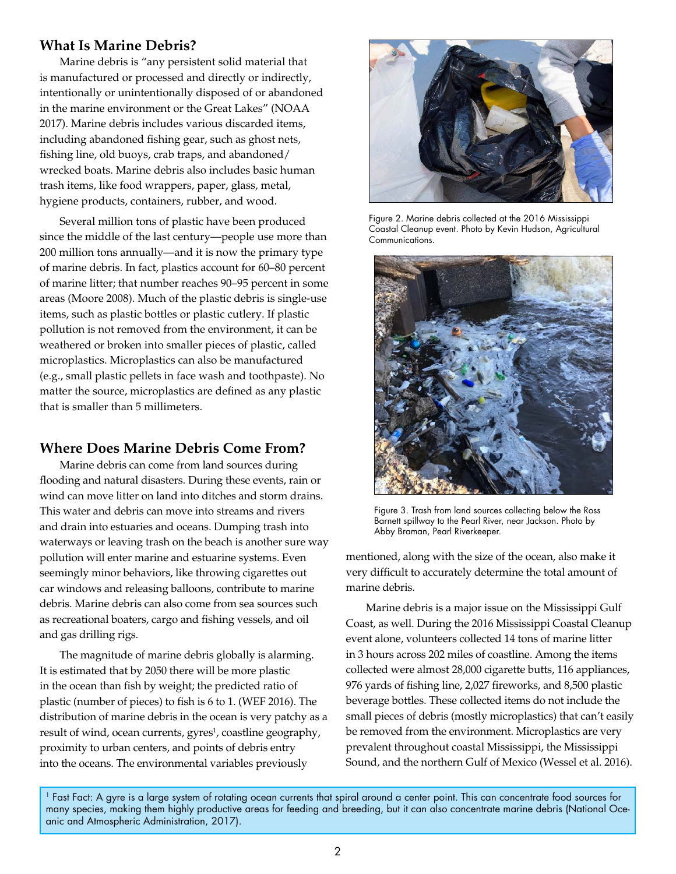## **What Is Marine Debris?**

Marine debris is "any persistent solid material that is manufactured or processed and directly or indirectly, intentionally or unintentionally disposed of or abandoned in the marine environment or the Great Lakes" (NOAA 2017). Marine debris includes various discarded items, including abandoned fishing gear, such as ghost nets, fishing line, old buoys, crab traps, and abandoned/ wrecked boats. Marine debris also includes basic human trash items, like food wrappers, paper, glass, metal, hygiene products, containers, rubber, and wood.

Several million tons of plastic have been produced since the middle of the last century—people use more than 200 million tons annually—and it is now the primary type of marine debris. In fact, plastics account for 60–80 percent of marine litter; that number reaches 90–95 percent in some areas (Moore 2008). Much of the plastic debris is single-use items, such as plastic bottles or plastic cutlery. If plastic pollution is not removed from the environment, it can be weathered or broken into smaller pieces of plastic, called microplastics. Microplastics can also be manufactured (e.g., small plastic pellets in face wash and toothpaste). No matter the source, microplastics are defined as any plastic that is smaller than 5 millimeters.

# **Where Does Marine Debris Come From?**

Marine debris can come from land sources during flooding and natural disasters. During these events, rain or wind can move litter on land into ditches and storm drains. This water and debris can move into streams and rivers and drain into estuaries and oceans. Dumping trash into waterways or leaving trash on the beach is another sure way pollution will enter marine and estuarine systems. Even seemingly minor behaviors, like throwing cigarettes out car windows and releasing balloons, contribute to marine debris. Marine debris can also come from sea sources such as recreational boaters, cargo and fishing vessels, and oil and gas drilling rigs.

The magnitude of marine debris globally is alarming. It is estimated that by 2050 there will be more plastic in the ocean than fish by weight; the predicted ratio of plastic (number of pieces) to fish is 6 to 1. (WEF 2016). The distribution of marine debris in the ocean is very patchy as a result of wind, ocean currents, gyres<sup>1</sup>, coastline geography, proximity to urban centers, and points of debris entry into the oceans. The environmental variables previously



Figure 2. Marine debris collected at the 2016 Mississippi Coastal Cleanup event. Photo by Kevin Hudson, Agricultural Communications.



Figure 3. Trash from land sources collecting below the Ross Barnett spillway to the Pearl River, near Jackson. Photo by Abby Braman, Pearl Riverkeeper.

mentioned, along with the size of the ocean, also make it very difficult to accurately determine the total amount of marine debris.

Marine debris is a major issue on the Mississippi Gulf Coast, as well. During the 2016 Mississippi Coastal Cleanup event alone, volunteers collected 14 tons of marine litter in 3 hours across 202 miles of coastline. Among the items collected were almost 28,000 cigarette butts, 116 appliances, 976 yards of fishing line, 2,027 fireworks, and 8,500 plastic beverage bottles. These collected items do not include the small pieces of debris (mostly microplastics) that can't easily be removed from the environment. Microplastics are very prevalent throughout coastal Mississippi, the Mississippi Sound, and the northern Gulf of Mexico (Wessel et al. 2016).

1 Fast Fact: A gyre is a large system of rotating ocean currents that spiral around a center point. This can concentrate food sources for many species, making them highly productive areas for feeding and breeding, but it can also concentrate marine debris (National Oceanic and Atmospheric Administration, 2017).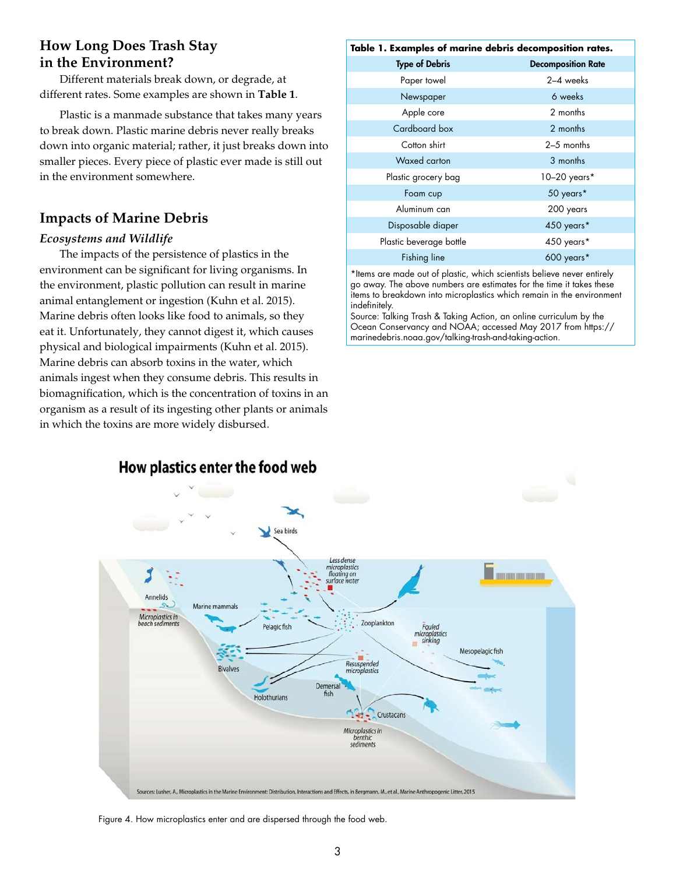# **How Long Does Trash Stay in the Environment?**

Different materials break down, or degrade, at different rates. Some examples are shown in **Table 1**.

Plastic is a manmade substance that takes many years to break down. Plastic marine debris never really breaks down into organic material; rather, it just breaks down into smaller pieces. Every piece of plastic ever made is still out in the environment somewhere.

# **Impacts of Marine Debris**

### *Ecosystems and Wildlife*

The impacts of the persistence of plastics in the environment can be significant for living organisms. In the environment, plastic pollution can result in marine animal entanglement or ingestion (Kuhn et al. 2015). Marine debris often looks like food to animals, so they eat it. Unfortunately, they cannot digest it, which causes physical and biological impairments (Kuhn et al. 2015). Marine debris can absorb toxins in the water, which animals ingest when they consume debris. This results in biomagnification, which is the concentration of toxins in an organism as a result of its ingesting other plants or animals in which the toxins are more widely disbursed.

#### **Table 1. Examples of marine debris decomposition rates.**

| <b>Type of Debris</b>   | <b>Decomposition Rate</b> |
|-------------------------|---------------------------|
| Paper towel             | 2-4 weeks                 |
| Newspaper               | 6 weeks                   |
| Apple core              | 2 months                  |
| Cardboard box           | 2 months                  |
| Cotton shirt            | $2-5$ months              |
| Waxed carton            | 3 months                  |
| Plastic grocery bag     | 10-20 years*              |
| Foam cup                | 50 years*                 |
| Aluminum can            | 200 years                 |
| Disposable diaper       | 450 years*                |
| Plastic beverage bottle | 450 years*                |
| <b>Fishing line</b>     | 600 years*                |
|                         |                           |

\*Items are made out of plastic, which scientists believe never entirely go away. The above numbers are estimates for the time it takes these items to breakdown into microplastics which remain in the environment indefinitely.

Source: Talking Trash & Taking Action, an online curriculum by the Ocean Conservancy and NOAA; accessed May 2017 from https:// marinedebris.noaa.gov/talking-trash-and-taking-action.



Figure 4. How microplastics enter and are dispersed through the food web.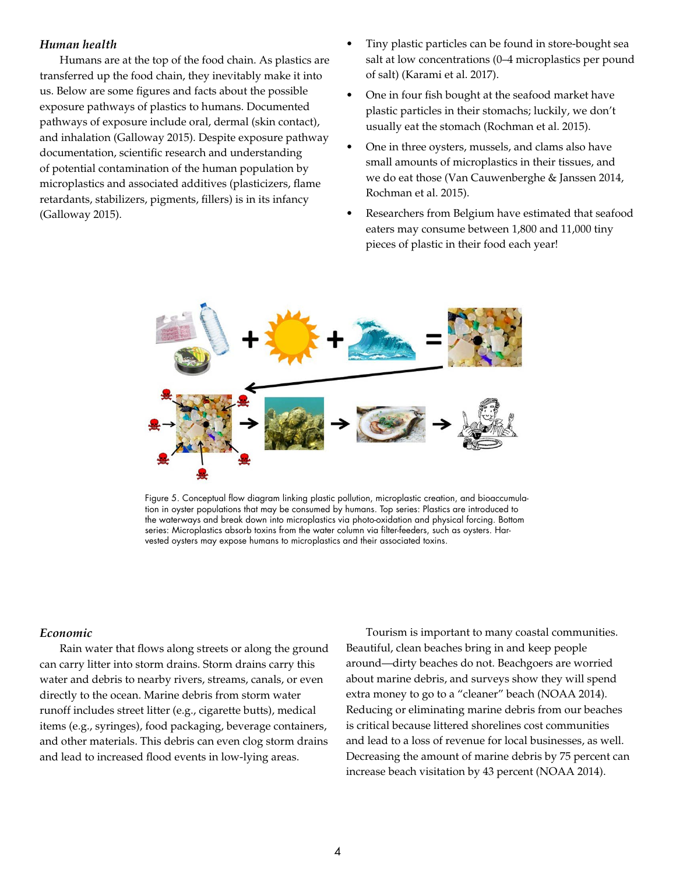#### *Human health*

Humans are at the top of the food chain. As plastics are transferred up the food chain, they inevitably make it into us. Below are some figures and facts about the possible exposure pathways of plastics to humans. Documented pathways of exposure include oral, dermal (skin contact), and inhalation (Galloway 2015). Despite exposure pathway documentation, scientific research and understanding of potential contamination of the human population by microplastics and associated additives (plasticizers, flame retardants, stabilizers, pigments, fillers) is in its infancy (Galloway 2015).

- Tiny plastic particles can be found in store-bought sea salt at low concentrations (0–4 microplastics per pound of salt) (Karami et al. 2017).
- One in four fish bought at the seafood market have plastic particles in their stomachs; luckily, we don't usually eat the stomach (Rochman et al. 2015).
- One in three oysters, mussels, and clams also have small amounts of microplastics in their tissues, and we do eat those (Van Cauwenberghe & Janssen 2014, Rochman et al. 2015).
- Researchers from Belgium have estimated that seafood eaters may consume between 1,800 and 11,000 tiny pieces of plastic in their food each year!



Figure 5. Conceptual flow diagram linking plastic pollution, microplastic creation, and bioaccumulation in oyster populations that may be consumed by humans. Top series: Plastics are introduced to the waterways and break down into microplastics via photo-oxidation and physical forcing. Bottom series: Microplastics absorb toxins from the water column via filter-feeders, such as oysters. Harvested oysters may expose humans to microplastics and their associated toxins.

#### *Economic*

Rain water that flows along streets or along the ground can carry litter into storm drains. Storm drains carry this water and debris to nearby rivers, streams, canals, or even directly to the ocean. Marine debris from storm water runoff includes street litter (e.g., cigarette butts), medical items (e.g., syringes), food packaging, beverage containers, and other materials. This debris can even clog storm drains and lead to increased flood events in low-lying areas.

Tourism is important to many coastal communities. Beautiful, clean beaches bring in and keep people around—dirty beaches do not. Beachgoers are worried about marine debris, and surveys show they will spend extra money to go to a "cleaner" beach (NOAA 2014). Reducing or eliminating marine debris from our beaches is critical because littered shorelines cost communities and lead to a loss of revenue for local businesses, as well. Decreasing the amount of marine debris by 75 percent can increase beach visitation by 43 percent (NOAA 2014).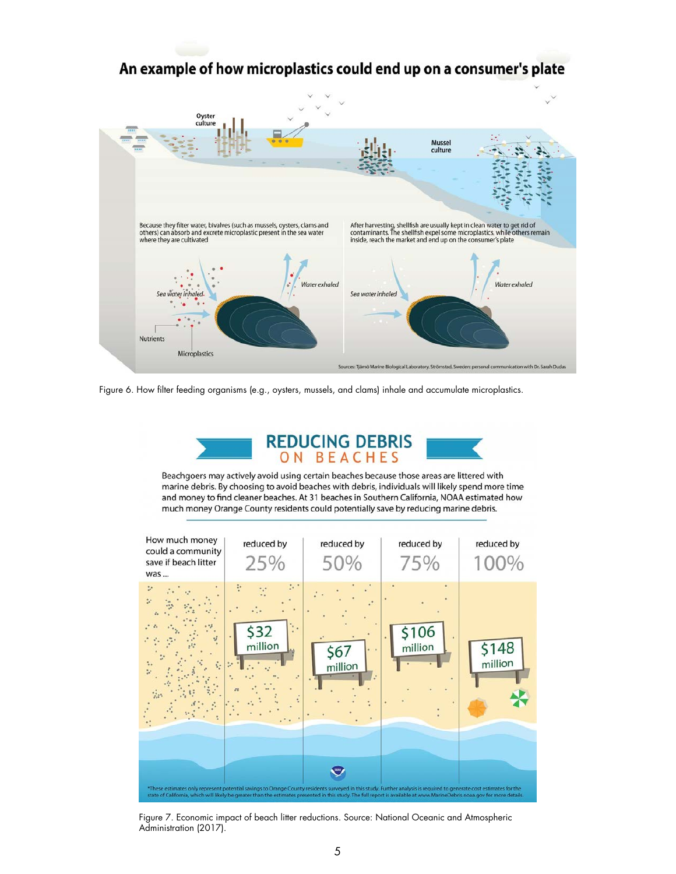# An example of how microplastics could end up on a consumer's plate



Figure 6. How filter feeding organisms (e.g., oysters, mussels, and clams) inhale and accumulate microplastics.



Beachgoers may actively avoid using certain beaches because those areas are littered with marine debris. By choosing to avoid beaches with debris, individuals will likely spend more time and money to find cleaner beaches. At 31 beaches in Southern California, NOAA estimated how much money Orange County residents could potentially save by reducing marine debris.



Figure 7. Economic impact of beach litter reductions. Source: National Oceanic and Atmospheric Administration (2017).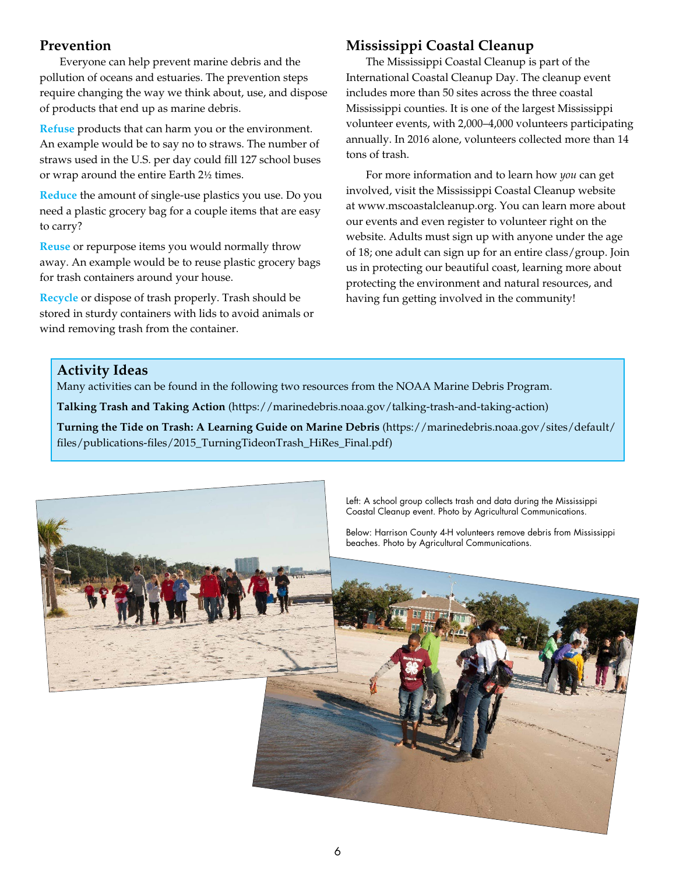## **Prevention**

Everyone can help prevent marine debris and the pollution of oceans and estuaries. The prevention steps require changing the way we think about, use, and dispose of products that end up as marine debris.

**Refuse** products that can harm you or the environment. An example would be to say no to straws. The number of straws used in the U.S. per day could fill 127 school buses or wrap around the entire Earth 21/2 times.

**Reduce** the amount of single-use plastics you use. Do you need a plastic grocery bag for a couple items that are easy to carry?

**Reuse** or repurpose items you would normally throw away. An example would be to reuse plastic grocery bags for trash containers around your house.

**Recycle** or dispose of trash properly. Trash should be stored in sturdy containers with lids to avoid animals or wind removing trash from the container.

# **Mississippi Coastal Cleanup**

The Mississippi Coastal Cleanup is part of the International Coastal Cleanup Day. The cleanup event includes more than 50 sites across the three coastal Mississippi counties. It is one of the largest Mississippi volunteer events, with 2,000–4,000 volunteers participating annually. In 2016 alone, volunteers collected more than 14 tons of trash.

For more information and to learn how *you* can get involved, visit the Mississippi Coastal Cleanup website at [www.mscoastalcleanup.org.](http://www.mscoastalcleanup.org) You can learn more about our events and even register to volunteer right on the website. Adults must sign up with anyone under the age of 18; one adult can sign up for an entire class/group. Join us in protecting our beautiful coast, learning more about protecting the environment and natural resources, and having fun getting involved in the community!

## **Activity Ideas**

Many activities can be found in the following two resources from the NOAA Marine Debris Program.

**Talking Trash and Taking Action** [\(https://marinedebris.noaa.gov/talking-trash-and-taking-action\)](https://marinedebris.noaa.gov/talking-trash-and-taking-action)

**Turning the Tide on Trash: A Learning Guide on Marine Debris** ([https://marinedebris.noaa.gov/sites/default/](https://marinedebris.noaa.gov/sites/default/files/publications-files/2015_TurningTideonTrash_HiRes_Final.pdf) [files/publications-files/2015\\_TurningTideonTrash\\_HiRes\\_Final.pdf](https://marinedebris.noaa.gov/sites/default/files/publications-files/2015_TurningTideonTrash_HiRes_Final.pdf))



Left: A school group collects trash and data during the Mississippi Coastal Cleanup event. Photo by Agricultural Communications.

Below: Harrison County 4-H volunteers remove debris from Mississippi beaches. Photo by Agricultural Communications.

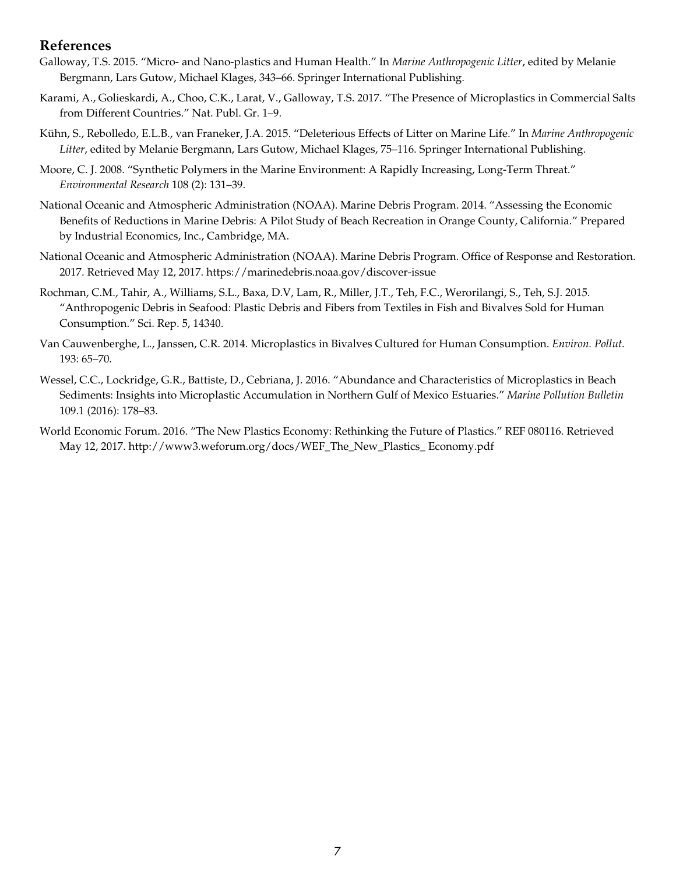## **References**

- Galloway, T.S. 2015. "Micro- and Nano-plastics and Human Health." In *Marine Anthropogenic Litter*, edited by Melanie Bergmann, Lars Gutow, Michael Klages, 343–66. Springer International Publishing.
- Karami, A., Golieskardi, A., Choo, C.K., Larat, V., Galloway, T.S. 2017. "The Presence of Microplastics in Commercial Salts from Different Countries." Nat. Publ. Gr. 1–9.
- Kühn, S., Rebolledo, E.L.B., van Franeker, J.A. 2015. "Deleterious Effects of Litter on Marine Life." In *Marine Anthropogenic Litter*, edited by Melanie Bergmann, Lars Gutow, Michael Klages, 75–116. Springer International Publishing.
- Moore, C. J. 2008. "Synthetic Polymers in the Marine Environment: A Rapidly Increasing, Long-Term Threat." *Environmental Research* 108 (2): 131–39.
- National Oceanic and Atmospheric Administration (NOAA). Marine Debris Program. 2014. "Assessing the Economic Benefits of Reductions in Marine Debris: A Pilot Study of Beach Recreation in Orange County, California." Prepared by Industrial Economics, Inc., Cambridge, MA.
- National Oceanic and Atmospheric Administration (NOAA). Marine Debris Program. Office of Response and Restoration. 2017. Retrieved May 12, 2017. <https://marinedebris.noaa.gov/discover-issue>
- Rochman, C.M., Tahir, A., Williams, S.L., Baxa, D.V, Lam, R., Miller, J.T., Teh, F.C., Werorilangi, S., Teh, S.J. 2015. "Anthropogenic Debris in Seafood: Plastic Debris and Fibers from Textiles in Fish and Bivalves Sold for Human Consumption." Sci. Rep. 5, 14340.
- Van Cauwenberghe, L., Janssen, C.R. 2014. Microplastics in Bivalves Cultured for Human Consumption. *Environ. Pollut.* 193: 65–70.
- Wessel, C.C., Lockridge, G.R., Battiste, D., Cebriana, J. 2016. "Abundance and Characteristics of Microplastics in Beach Sediments: Insights into Microplastic Accumulation in Northern Gulf of Mexico Estuaries." *Marine Pollution Bulletin* 109.1 (2016): 178–83.
- World Economic Forum. 2016. "The New Plastics Economy: Rethinking the Future of Plastics." REF 080116. Retrieved May 12, 2017. [http://www3.weforum.org/docs/WEF\\_The\\_New\\_Plastics\\_ Economy.pdf](http://www3.weforum.org/docs/WEF_The_New_Plastics_%20Economy.pdf)